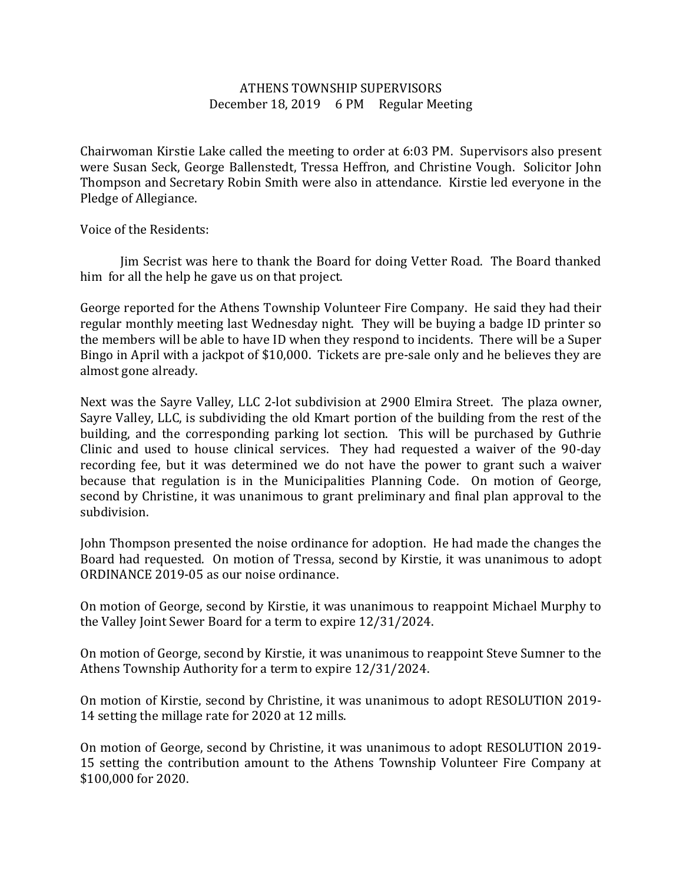## ATHENS TOWNSHIP SUPERVISORS December 18, 2019 6 PM Regular Meeting

Chairwoman Kirstie Lake called the meeting to order at 6:03 PM. Supervisors also present were Susan Seck, George Ballenstedt, Tressa Heffron, and Christine Vough. Solicitor John Thompson and Secretary Robin Smith were also in attendance. Kirstie led everyone in the Pledge of Allegiance.

Voice of the Residents:

 Jim Secrist was here to thank the Board for doing Vetter Road. The Board thanked him for all the help he gave us on that project.

George reported for the Athens Township Volunteer Fire Company. He said they had their regular monthly meeting last Wednesday night. They will be buying a badge ID printer so the members will be able to have ID when they respond to incidents. There will be a Super Bingo in April with a jackpot of \$10,000. Tickets are pre-sale only and he believes they are almost gone already.

Next was the Sayre Valley, LLC 2-lot subdivision at 2900 Elmira Street. The plaza owner, Sayre Valley, LLC, is subdividing the old Kmart portion of the building from the rest of the building, and the corresponding parking lot section. This will be purchased by Guthrie Clinic and used to house clinical services. They had requested a waiver of the 90-day recording fee, but it was determined we do not have the power to grant such a waiver because that regulation is in the Municipalities Planning Code. On motion of George, second by Christine, it was unanimous to grant preliminary and final plan approval to the subdivision.

John Thompson presented the noise ordinance for adoption. He had made the changes the Board had requested. On motion of Tressa, second by Kirstie, it was unanimous to adopt ORDINANCE 2019-05 as our noise ordinance.

On motion of George, second by Kirstie, it was unanimous to reappoint Michael Murphy to the Valley Joint Sewer Board for a term to expire 12/31/2024.

On motion of George, second by Kirstie, it was unanimous to reappoint Steve Sumner to the Athens Township Authority for a term to expire 12/31/2024.

On motion of Kirstie, second by Christine, it was unanimous to adopt RESOLUTION 2019- 14 setting the millage rate for 2020 at 12 mills.

On motion of George, second by Christine, it was unanimous to adopt RESOLUTION 2019- 15 setting the contribution amount to the Athens Township Volunteer Fire Company at \$100,000 for 2020.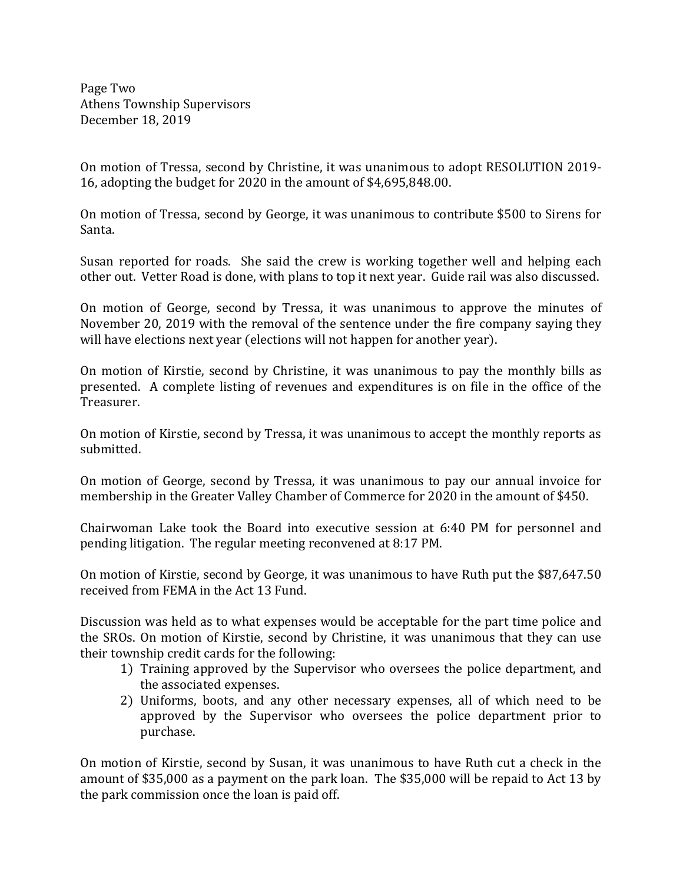Page Two Athens Township Supervisors December 18, 2019

On motion of Tressa, second by Christine, it was unanimous to adopt RESOLUTION 2019- 16, adopting the budget for 2020 in the amount of \$4,695,848.00.

On motion of Tressa, second by George, it was unanimous to contribute \$500 to Sirens for Santa.

Susan reported for roads. She said the crew is working together well and helping each other out. Vetter Road is done, with plans to top it next year. Guide rail was also discussed.

On motion of George, second by Tressa, it was unanimous to approve the minutes of November 20, 2019 with the removal of the sentence under the fire company saying they will have elections next year (elections will not happen for another year).

On motion of Kirstie, second by Christine, it was unanimous to pay the monthly bills as presented. A complete listing of revenues and expenditures is on file in the office of the Treasurer.

On motion of Kirstie, second by Tressa, it was unanimous to accept the monthly reports as submitted.

On motion of George, second by Tressa, it was unanimous to pay our annual invoice for membership in the Greater Valley Chamber of Commerce for 2020 in the amount of \$450.

Chairwoman Lake took the Board into executive session at 6:40 PM for personnel and pending litigation. The regular meeting reconvened at 8:17 PM.

On motion of Kirstie, second by George, it was unanimous to have Ruth put the \$87,647.50 received from FEMA in the Act 13 Fund.

Discussion was held as to what expenses would be acceptable for the part time police and the SROs. On motion of Kirstie, second by Christine, it was unanimous that they can use their township credit cards for the following:

- 1) Training approved by the Supervisor who oversees the police department, and the associated expenses.
- 2) Uniforms, boots, and any other necessary expenses, all of which need to be approved by the Supervisor who oversees the police department prior to purchase.

On motion of Kirstie, second by Susan, it was unanimous to have Ruth cut a check in the amount of \$35,000 as a payment on the park loan. The \$35,000 will be repaid to Act 13 by the park commission once the loan is paid off.